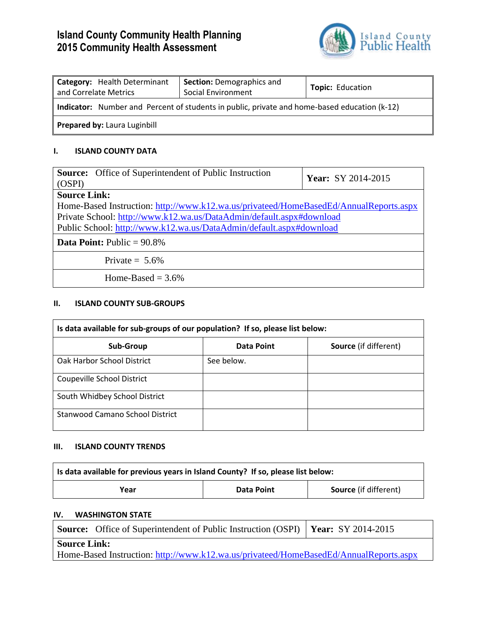# **Island County Community Health Planning 2015 Community Health Assessment**



| <b>Category:</b> Health Determinant<br>and Correlate Metrics                                 | <b>Section: Demographics and</b><br>Social Environment | <b>Topic: Education</b> |  |
|----------------------------------------------------------------------------------------------|--------------------------------------------------------|-------------------------|--|
| Indicator: Number and Percent of students in public, private and home-based education (k-12) |                                                        |                         |  |
| <b>Prepared by: Laura Luginbill</b>                                                          |                                                        |                         |  |

## **I. ISLAND COUNTY DATA**

| <b>Source:</b> Office of Superintendent of Public Instruction                         | Year: SY 2014-2015 |  |  |
|---------------------------------------------------------------------------------------|--------------------|--|--|
| (OSPI)                                                                                |                    |  |  |
| <b>Source Link:</b>                                                                   |                    |  |  |
| Home-Based Instruction: http://www.k12.wa.us/privateed/HomeBasedEd/AnnualReports.aspx |                    |  |  |
| Private School: http://www.k12.wa.us/DataAdmin/default.aspx#download                  |                    |  |  |
| Public School: http://www.k12.wa.us/DataAdmin/default.aspx#download                   |                    |  |  |
| <b>Data Point:</b> Public $= 90.8\%$                                                  |                    |  |  |
| Private $= 5.6\%$                                                                     |                    |  |  |
| Home-Based $=$ 3.6%                                                                   |                    |  |  |

#### **II. ISLAND COUNTY SUB-GROUPS**

| Is data available for sub-groups of our population? If so, please list below: |                   |                              |  |
|-------------------------------------------------------------------------------|-------------------|------------------------------|--|
| Sub-Group                                                                     | <b>Data Point</b> | <b>Source</b> (if different) |  |
| Oak Harbor School District                                                    | See below.        |                              |  |
| Coupeville School District                                                    |                   |                              |  |
| South Whidbey School District                                                 |                   |                              |  |
| Stanwood Camano School District                                               |                   |                              |  |

#### **III. ISLAND COUNTY TRENDS**

| Is data available for previous years in Island County? If so, please list below: |  |  |  |
|----------------------------------------------------------------------------------|--|--|--|
| <b>Source</b> (if different)<br>Data Point<br>Year                               |  |  |  |
|                                                                                  |  |  |  |

## **IV. WASHINGTON STATE**

|                                                                                       | Source: Office of Superintendent of Public Instruction (OSPI)   Year: SY 2014-2015 |  |  |
|---------------------------------------------------------------------------------------|------------------------------------------------------------------------------------|--|--|
| <b>Source Link:</b>                                                                   |                                                                                    |  |  |
| Home-Based Instruction: http://www.k12.wa.us/privateed/HomeBasedEd/AnnualReports.aspx |                                                                                    |  |  |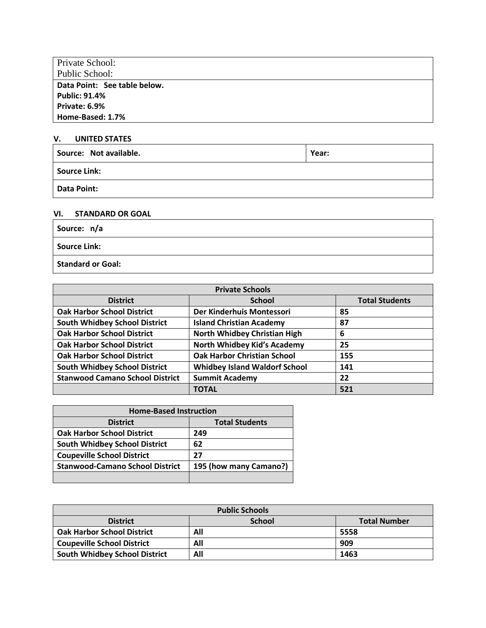| <b>Private School:</b>       |
|------------------------------|
| Public School:               |
| Data Point: See table below. |
| <b>Public: 91.4%</b>         |
| Private: 6.9%                |
| Home-Based: 1.7%             |

#### **V. UNITED STATES**

| Source: Not available. | Year: |
|------------------------|-------|
| <b>Source Link:</b>    |       |
| Data Point:            |       |

### **VI. STANDARD OR GOAL**

| Source: n/a              |  |
|--------------------------|--|
| <b>Source Link:</b>      |  |
| <b>Standard or Goal:</b> |  |

| <b>Private Schools</b>                 |                                      |                       |  |
|----------------------------------------|--------------------------------------|-----------------------|--|
| <b>District</b>                        | <b>School</b>                        | <b>Total Students</b> |  |
| <b>Oak Harbor School District</b>      | Der Kinderhuis Montessori            | 85                    |  |
| <b>South Whidbey School District</b>   | <b>Island Christian Academy</b>      | 87                    |  |
| <b>Oak Harbor School District</b>      | North Whidbey Christian High         | 6                     |  |
| <b>Oak Harbor School District</b>      | North Whidbey Kid's Academy          | 25                    |  |
| <b>Oak Harbor School District</b>      | <b>Oak Harbor Christian School</b>   | 155                   |  |
| <b>South Whidbey School District</b>   | <b>Whidbey Island Waldorf School</b> | 141                   |  |
| <b>Stanwood Camano School District</b> | <b>Summit Academy</b>                | 22                    |  |
|                                        | <b>TOTAL</b>                         | 521                   |  |

| <b>Home-Based Instruction</b>          |                        |  |
|----------------------------------------|------------------------|--|
| <b>District</b>                        | <b>Total Students</b>  |  |
| <b>Oak Harbor School District</b>      | 249                    |  |
| <b>South Whidbey School District</b>   | 62                     |  |
| <b>Coupeville School District</b>      | 27                     |  |
| <b>Stanwood-Camano School District</b> | 195 (how many Camano?) |  |
|                                        |                        |  |

| <b>Public Schools</b>                |               |                     |  |
|--------------------------------------|---------------|---------------------|--|
| <b>District</b>                      | <b>School</b> | <b>Total Number</b> |  |
| <b>Oak Harbor School District</b>    | All           | 5558                |  |
| <b>Coupeville School District</b>    | All           | 909                 |  |
| <b>South Whidbey School District</b> | All           | 1463                |  |